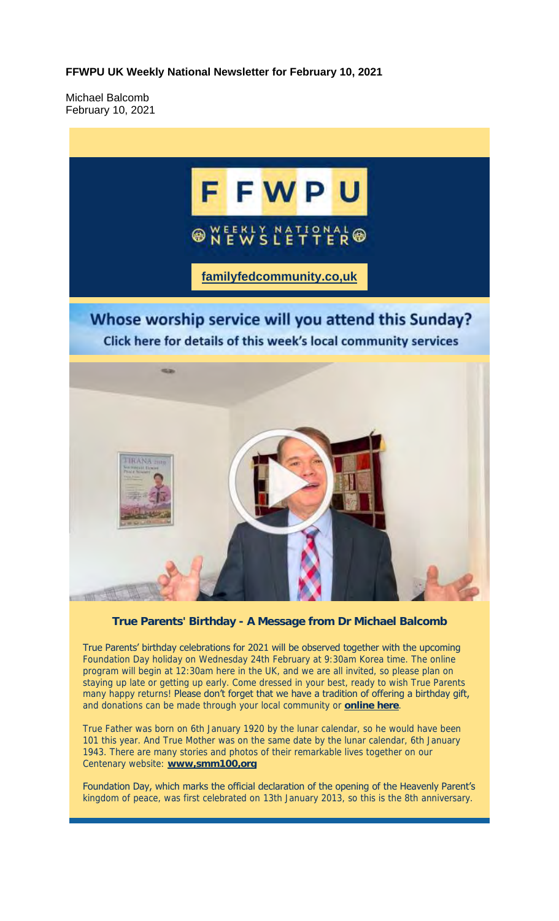**FFWPU UK Weekly National Newsletter for February 10, 2021**

Michael Balcomb February 10, 2021



**True Parents' Birthday - A Message from Dr Michael Balcomb**

True Parents' birthday celebrations for 2021 will be observed together with the upcoming Foundation Day holiday on Wednesday 24th February at 9:30am Korea time. The online program will begin at 12:30am here in the UK, and we are all invited, so please plan on staying up late or getting up early. Come dressed in your best, ready to wish True Parents many happy returns! Please don't forget that we have a tradition of offering a birthday gift, and donations can be made through your local community or **online here**.

True Father was born on 6th January 1920 by the lunar calendar, so he would have been 101 this year. And True Mother was on the same date by the lunar calendar, 6th January 1943. There are many stories and photos of their remarkable lives together on our Centenary website: **www,smm100,org**

Foundation Day, which marks the official declaration of the opening of the Heavenly Parent's kingdom of peace, was first celebrated on 13th January 2013, so this is the 8th anniversary.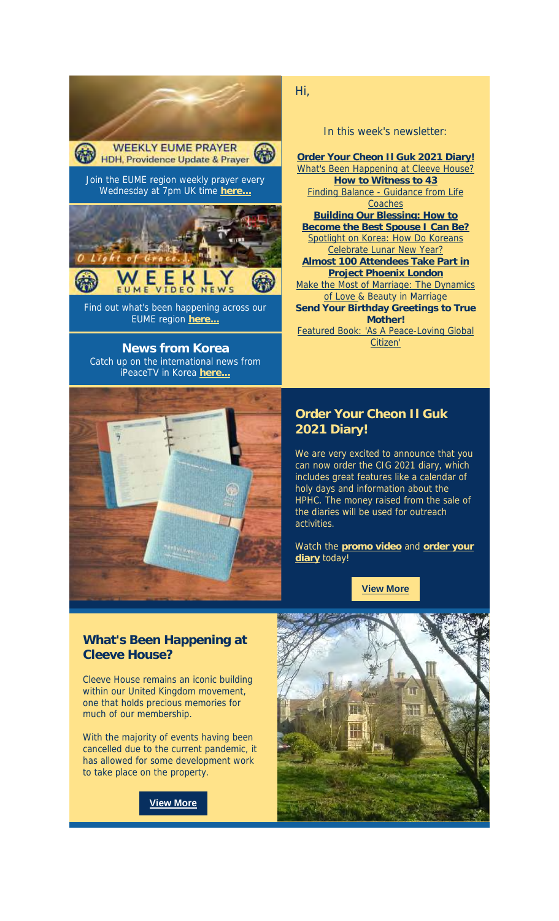

**News from Korea** Catch up on the international news from



Hi,

In this week's newsletter:

**Order Your Cheon Il Guk 2021 Diary!** What's Been Happening at Cleeve House? **How to Witness to 43** Finding Balance - Guidance from Life **Coaches Building Our Blessing: How to Become the Best Spouse I Can Be?** Spotlight on Korea: How Do Koreans Celebrate Lunar New Year? **Almost 100 Attendees Take Part in Project Phoenix London** Make the Most of Marriage: The Dynamics of Love & Beauty in Marriage **Send Your Birthday Greetings to True Mother!** Featured Book: 'As A Peace-Loving Global Citizen'

## **Order Your Cheon Il Guk 2021 Diary!**

We are very excited to announce that you can now order the CIG 2021 diary, which includes great features like a calendar of holy days and information about the HPHC. The money raised from the sale of the diaries will be used for outreach activities.

Watch the **promo video** and **order your diary** today!

**View More**

## **What's Been Happening at Cleeve House?**

Cleeve House remains an iconic building within our United Kingdom movement, one that holds precious memories for much of our membership.

With the majority of events having been cancelled due to the current pandemic, it has allowed for some development work to take place on the property.



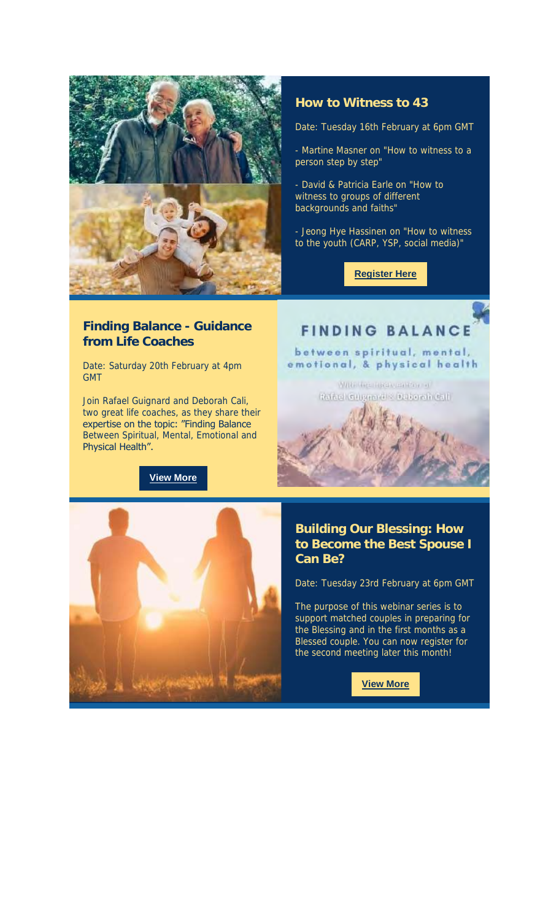

#### **How to Witness to 43**

Date: Tuesday 16th February at 6pm GMT

- Martine Masner on "How to witness to a person step by step"

- David & Patricia Earle on "How to witness to groups of different backgrounds and faiths"

- Jeong Hye Hassinen on "How to witness to the youth (CARP, YSP, social media)"

**Register Here**

#### **Finding Balance - Guidance from Life Coaches**

Date: Saturday 20th February at 4pm GMT

Join Rafael Guignard and Deborah Cali, two great life coaches, as they share their expertise on the topic: "Finding Balance Between Spiritual, Mental, Emotional and Physical Health".

**View More**

# **FINDING BALANCE**

between spiritual, mental, emotional, & physical health

> WIRE GREENBOUGHTON OF Rafael Culgarial & Dalomir Call

# **Building Our Blessing: How to Become the Best Spouse I Can Be?**

Date: Tuesday 23rd February at 6pm GMT

The purpose of this webinar series is to support matched couples in preparing for the Blessing and in the first months as a Blessed couple. You can now register for the second meeting later this month!

**View More**

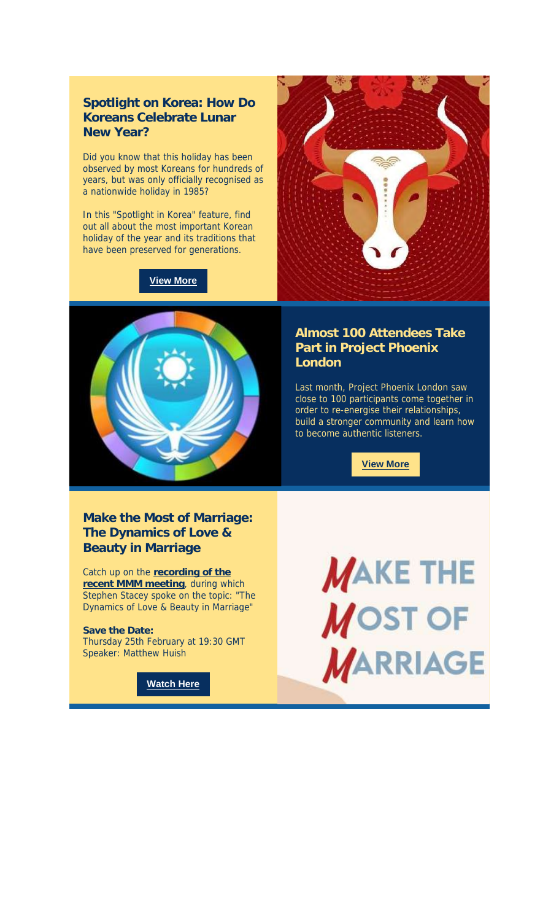**Spotlight on Korea: How Do Koreans Celebrate Lunar New Year?**

Did you know that this holiday has been observed by most Koreans for hundreds of years, but was only officially recognised as a nationwide holiday in 1985?

In this "Spotlight in Korea" feature, find out all about the most important Korean holiday of the year and its traditions that have been preserved for generations.

**View More**





#### **Almost 100 Attendees Take Part in Project Phoenix London**

Last month, Project Phoenix London saw close to 100 participants come together in order to re-energise their relationships, build a stronger community and learn how to become authentic listeners.

**View More**

**Make the Most of Marriage: The Dynamics of Love & Beauty in Marriage**

Catch up on the **recording of the recent MMM meeting**, during which Stephen Stacey spoke on the topic: "The Dynamics of Love & Beauty in Marriage"

**Save the Date:** Thursday 25th February at 19:30 GMT Speaker: Matthew Huish

**Watch Here**

**MAKE THE MOST OF MARRIAGE**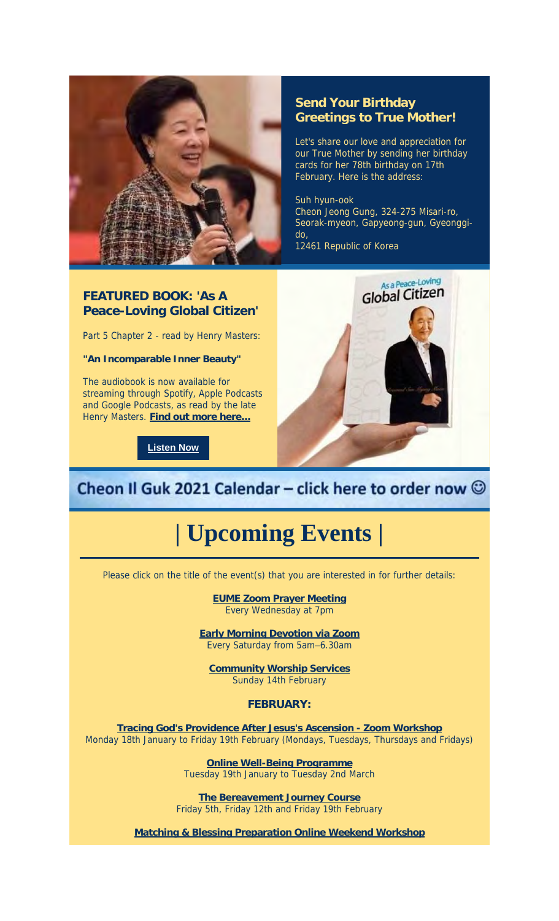

#### **Send Your Birthday Greetings to True Mother!**

Let's share our love and appreciation for our True Mother by sending her birthday cards for her 78th birthday on 17th February. Here is the address:

Suh hyun-ook Cheon Jeong Gung, 324-275 Misari-ro, Seorak-myeon, Gapyeong-gun, Gyeonggido,

12461 Republic of Korea

#### **FEATURED BOOK: 'As A Peace-Loving Global Citizen'**

Part 5 Chapter 2 - read by Henry Masters:

**"An Incomparable Inner Beauty"**

The audiobook is now available for streaming through Spotify, Apple Podcasts and Google Podcasts, as read by the late Henry Masters. **Find out more here...**

**Listen Now**



# Cheon Il Guk 2021 Calendar - click here to order now  $\odot$

# **| Upcoming Events |**

Please click on the title of the event(s) that you are interested in for further details:

**EUME Zoom Prayer Meeting** Every Wednesday at 7pm

**Early Morning Devotion via Zoom** Every Saturday from 5am–6.30am

**Community Worship Services** Sunday 14th February

**FEBRUARY:**

**Tracing God's Providence After Jesus's Ascension - Zoom Workshop** Monday 18th January to Friday 19th February (Mondays, Tuesdays, Thursdays and Fridays)

> **Online Well-Being Programme** Tuesday 19th January to Tuesday 2nd March

**The Bereavement Journey Course** Friday 5th, Friday 12th and Friday 19th February

**Matching & Blessing Preparation Online Weekend Workshop**